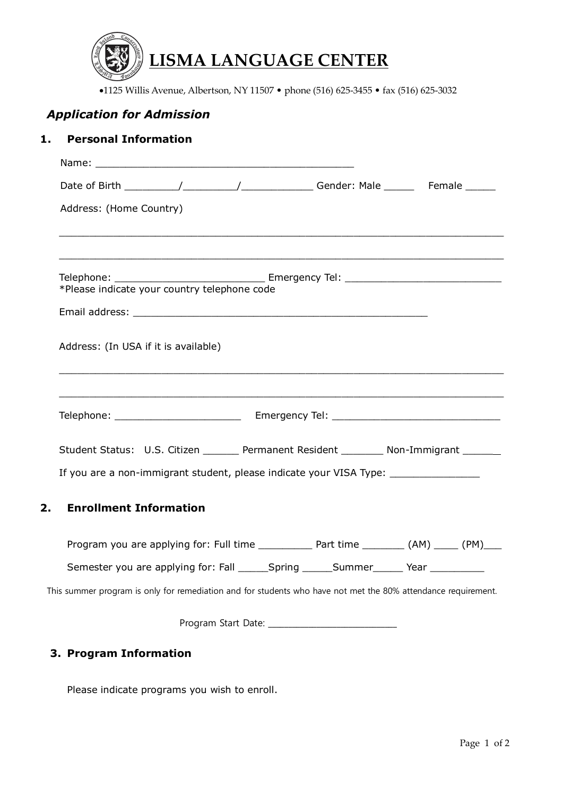

•1125 Willis Avenue, Albertson, NY 11507 • phone (516) 625-3455 • fax (516) 625-3032

# *Application for Admission*

### **1. Personal Information**

|  | Address: (Home Country)                                                                                               |  |  |  |
|--|-----------------------------------------------------------------------------------------------------------------------|--|--|--|
|  | <u> 1989 - Johann Stoff, deutscher Stoff, der Stoff, der Stoff, der Stoff, der Stoff, der Stoff, der Stoff, der S</u> |  |  |  |
|  | *Please indicate your country telephone code                                                                          |  |  |  |
|  |                                                                                                                       |  |  |  |
|  | Address: (In USA if it is available)                                                                                  |  |  |  |
|  |                                                                                                                       |  |  |  |
|  |                                                                                                                       |  |  |  |
|  | Student Status: U.S. Citizen _______ Permanent Resident ________ Non-Immigrant ______                                 |  |  |  |
|  | If you are a non-immigrant student, please indicate your VISA Type: _____________                                     |  |  |  |
|  | <b>Enrollment Information</b>                                                                                         |  |  |  |
|  |                                                                                                                       |  |  |  |
|  | Semester you are applying for: Fall ______Spring ______Summer______ Year ________                                     |  |  |  |
|  | This summer program is only for remediation and for students who have not met the 80% attendance requirement.         |  |  |  |
|  |                                                                                                                       |  |  |  |

## **3. Program Information**

Please indicate programs you wish to enroll.